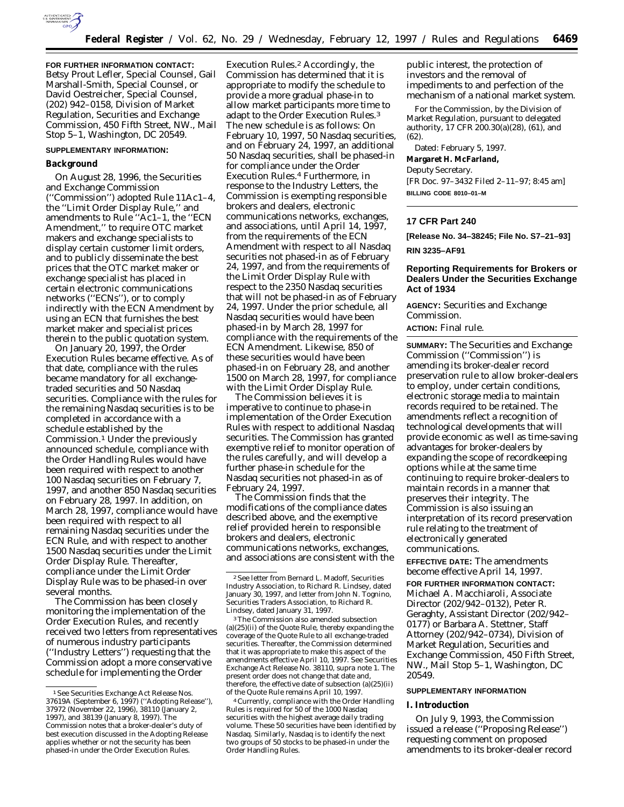

**FOR FURTHER INFORMATION CONTACT:** Betsy Prout Lefler, Special Counsel, Gail Marshall-Smith, Special Counsel, or David Oestreicher, Special Counsel, (202) 942–0158, Division of Market Regulation, Securities and Exchange Commission, 450 Fifth Street, NW., Mail Stop 5–1, Washington, DC 20549.

#### **SUPPLEMENTARY INFORMATION:**

#### **Background**

On August 28, 1996, the Securities and Exchange Commission (''Commission'') adopted Rule 11Ac1–4, the ''Limit Order Display Rule,'' and amendments to Rule ''Ac1–1, the ''ECN Amendment,'' to require OTC market makers and exchange specialists to display certain customer limit orders, and to publicly disseminate the best prices that the OTC market maker or exchange specialist has placed in certain electronic communications networks (''ECNs''), or to comply indirectly with the ECN Amendment by using an ECN that furnishes the best market maker and specialist prices therein to the public quotation system.

On January 20, 1997, the Order Execution Rules became effective. As of that date, compliance with the rules became mandatory for all exchangetraded securities and 50 Nasdaq securities. Compliance with the rules for the remaining Nasdaq securities is to be completed in accordance with a schedule established by the Commission.1 Under the previously announced schedule, compliance with the Order Handling Rules would have been required with respect to another 100 Nasdaq securities on February 7, 1997, and another 850 Nasdaq securities on February 28, 1997. In addition, on March 28, 1997, compliance would have been required with respect to all remaining Nasdaq securities under the ECN Rule, and with respect to another 1500 Nasdaq securities under the Limit Order Display Rule. Thereafter, compliance under the Limit Order Display Rule was to be phased-in over several months.

The Commission has been closely monitoring the implementation of the Order Execution Rules, and recently received two letters from representatives of numerous industry participants (''Industry Letters'') requesting that the Commission adopt a more conservative schedule for implementing the Order

Execution Rules.2 Accordingly, the Commission has determined that it is appropriate to modify the schedule to provide a more gradual phase-in to allow market participants more time to adapt to the Order Execution Rules.3 The new schedule is as follows: On February 10, 1997, 50 Nasdaq securities, and on February 24, 1997, an additional 50 Nasdaq securities, shall be phased-in for compliance under the Order Execution Rules.4 Furthermore, in response to the Industry Letters, the Commission is exempting responsible brokers and dealers, electronic communications networks, exchanges, and associations, until April 14, 1997, from the requirements of the ECN Amendment with respect to all Nasdaq securities not phased-in as of February 24, 1997, and from the requirements of the Limit Order Display Rule with respect to the 2350 Nasdaq securities that will not be phased-in as of February 24, 1997. Under the prior schedule, all Nasdaq securities would have been phased-in by March 28, 1997 for compliance with the requirements of the ECN Amendment. Likewise, 850 of these securities would have been phased-in on February 28, and another 1500 on March 28, 1997, for compliance with the Limit Order Display Rule.

The Commission believes it is imperative to continue to phase-in implementation of the Order Execution Rules with respect to additional Nasdaq securities. The Commission has granted exemptive relief to monitor operation of the rules carefully, and will develop a further phase-in schedule for the Nasdaq securities not phased-in as of February 24, 1997.

The Commission finds that the modifications of the compliance dates described above, and the exemptive relief provided herein to responsible brokers and dealers, electronic communications networks, exchanges, and associations are consistent with the

3The Commission also amended subsection (a)(25)(ii) of the Quote Rule, thereby expanding the coverage of the Quote Rule to all exchange-traded securities. Thereafter, the Commission determined that it was appropriate to make this aspect of the amendments effective April 10, 1997. *See* Securities Exchange Act Release No. 38110, *supra* note 1. The present order does not change that date and, therefore, the effective date of subsection (a)(25)(ii) of the Quote Rule remains April 10, 1997.

4Currently, compliance with the Order Handling Rules is required for 50 of the 1000 Nasdaq securities with the highest average daily trading volume. These 50 securities have been identified by Nasdaq. Similarly, Nasdaq is to identify the next two groups of 50 stocks to be phased-in under the Order Handling Rules.

public interest, the protection of investors and the removal of impediments to and perfection of the mechanism of a national market system.

For the Commission, by the Division of Market Regulation, pursuant to delegated authority, 17 CFR 200.30(a)(28), (61), and (62).

Dated: February 5, 1997. **Margaret H. McFarland,** *Deputy Secretary.* [FR Doc. 97–3432 Filed 2–11–97; 8:45 am] **BILLING CODE 8010–01–M**

#### **17 CFR Part 240**

**[Release No. 34–38245; File No. S7–21–93] RIN 3235–AF91**

# **Reporting Requirements for Brokers or Dealers Under the Securities Exchange Act of 1934**

**AGENCY:** Securities and Exchange Commission.

# **ACTION:** Final rule.

**SUMMARY:** The Securities and Exchange Commission (''Commission'') is amending its broker-dealer record preservation rule to allow broker-dealers to employ, under certain conditions, electronic storage media to maintain records required to be retained. The amendments reflect a recognition of technological developments that will provide economic as well as time-saving advantages for broker-dealers by expanding the scope of recordkeeping options while at the same time continuing to require broker-dealers to maintain records in a manner that preserves their integrity. The Commission is also issuing an interpretation of its record preservation rule relating to the treatment of electronically generated communications.

**EFFECTIVE DATE:** The amendments become effective April 14, 1997.

**FOR FURTHER INFORMATION CONTACT:** Michael A. Macchiaroli, Associate Director (202/942–0132), Peter R. Geraghty, Assistant Director (202/942– 0177) or Barbara A. Stettner, Staff Attorney (202/942–0734), Division of Market Regulation, Securities and Exchange Commission, 450 Fifth Street, NW., Mail Stop 5–1, Washington, DC 20549.

# **SUPPLEMENTARY INFORMATION**

# **I. Introduction**

On July 9, 1993, the Commission issued a release (''Proposing Release'') requesting comment on proposed amendments to its broker-dealer record

<sup>1</sup>*See* Securities Exchange Act Release Nos. 37619A (September 6, 1997) (''Adopting Release''), 37972 (November 22, 1996), 38110 (January 2, 1997), and 38139 (January 8, 1997). The Commission notes that a broker-dealer's duty of best execution discussed in the Adopting Release applies whether or not the security has been phased-in under the Order Execution Rules.

<sup>2</sup>*See* letter from Bernard L. Madoff, Securities Industry Association, to Richard R. Lindsey, dated January 30, 1997, and letter from John N. Tognino, Securities Traders Association, to Richard R. Lindsey, dated January 31, 1997.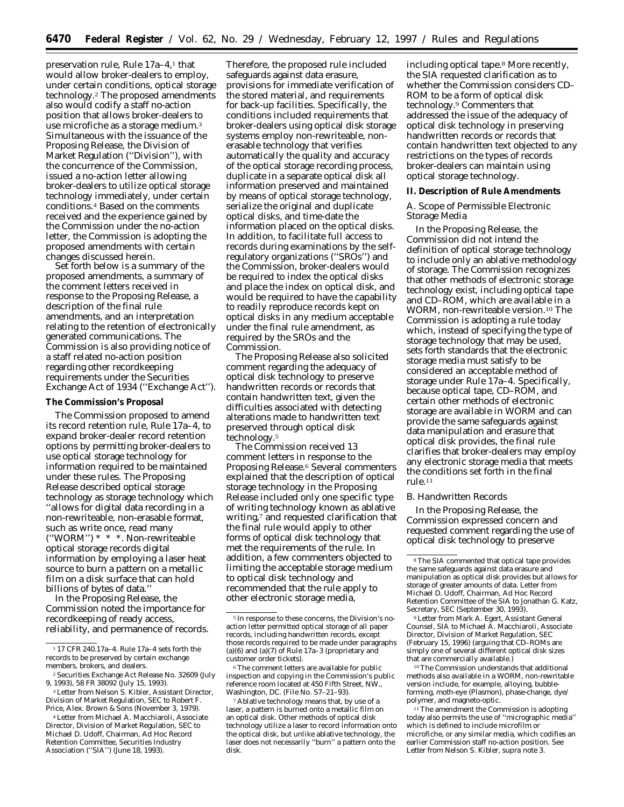preservation rule, Rule 17a–4,1 that would allow broker-dealers to employ, under certain conditions, optical storage technology.2 The proposed amendments also would codify a staff no-action position that allows broker-dealers to use microfiche as a storage medium.3 Simultaneous with the issuance of the Proposing Release, the Division of Market Regulation (''Division''), with the concurrence of the Commission, issued a no-action letter allowing broker-dealers to utilize optical storage technology immediately, under certain conditions.4 Based on the comments received and the experience gained by the Commission under the no-action letter, the Commission is adopting the proposed amendments with certain changes discussed herein.

Set forth below is a summary of the proposed amendments, a summary of the comment letters received in response to the Proposing Release, a description of the final rule amendments, and an interpretation relating to the retention of electronically generated communications. The Commission is also providing notice of a staff related no-action position regarding other recordkeeping requirements under the Securities Exchange Act of 1934 (''Exchange Act'').

# **The Commission's Proposal**

The Commission proposed to amend its record retention rule, Rule 17a–4, to expand broker-dealer record retention options by permitting broker-dealers to use optical storage technology for information required to be maintained under these rules. The Proposing Release described optical storage technology as storage technology which ''allows for digital data recording in a non-rewriteable, non-erasable format, such as write once, read many (''WORM'') \* \* \*. Non-rewriteable optical storage records digital information by employing a laser heat source to burn a pattern on a metallic film on a disk surface that can hold billions of bytes of data.''

In the Proposing Release, the Commission noted the importance for recordkeeping of ready access, reliability, and permanence of records.

Therefore, the proposed rule included safeguards against data erasure, provisions for immediate verification of the stored material, and requirements for back-up facilities. Specifically, the conditions included requirements that broker-dealers using optical disk storage systems employ non-rewriteable, nonerasable technology that verifies automatically the quality and accuracy of the optical storage recording process, duplicate in a separate optical disk all information preserved and maintained by means of optical storage technology, serialize the original and duplicate optical disks, and time-date the information placed on the optical disks. In addition, to facilitate full access to records during examinations by the selfregulatory organizations ("SROs") and the Commission, broker-dealers would be required to index the optical disks and place the index on optical disk, and would be required to have the capability to readily reproduce records kept on optical disks in any medium acceptable under the final rule amendment, as required by the SROs and the Commission.

The Proposing Release also solicited comment regarding the adequacy of optical disk technology to preserve handwritten records or records that contain handwritten text, given the difficulties associated with detecting alterations made to handwritten text preserved through optical disk technology.5

The Commission received 13 comment letters in response to the Proposing Release.6 Several commenters explained that the description of optical storage technology in the Proposing Release included only one specific type of writing technology known as ablative writing,7 and requested clarification that the final rule would apply to other forms of optical disk technology that met the requirements of the rule. In addition, a few commenters objected to limiting the acceptable storage medium to optical disk technology and recommended that the rule apply to other electronic storage media,

including optical tape.8 More recently, the SIA requested clarification as to whether the Commission considers CD– ROM to be a form of optical disk technology.9 Commenters that addressed the issue of the adequacy of optical disk technology in preserving handwritten records or records that contain handwritten text objected to any restrictions on the types of records broker-dealers can maintain using optical storage technology.

# **II. Description of Rule Amendments**

# *A. Scope of Permissible Electronic Storage Media*

In the Proposing Release, the Commission did not intend the definition of optical storage technology to include only an ablative methodology of storage. The Commission recognizes that other methods of electronic storage technology exist, including optical tape and CD–ROM, which are available in a WORM, non-rewriteable version.10 The Commission is adopting a rule today which, instead of specifying the type of storage technology that may be used, sets forth standards that the electronic storage media must satisfy to be considered an acceptable method of storage under Rule 17a–4. Specifically, because optical tape, CD–ROM, and certain other methods of electronic storage are available in WORM and can provide the same safeguards against data manipulation and erasure that optical disk provides, the final rule clarifies that broker-dealers may employ any electronic storage media that meets the conditions set forth in the final rule.11

#### *B. Handwritten Records*

In the Proposing Release, the Commission expressed concern and requested comment regarding the use of optical disk technology to preserve

9Letter from Mark A. Egert, Assistant General Counsel, SIA to Michael A. Macchiaroli, Associate Director, Division of Market Regulation, SEC (February 15, 1996) (arguing that CD–ROMs are simply one of several different optical disk sizes that are commercially available.)

10The Commission understands that additional methods also available in a WORM, non-rewritable version include, for example, alloying, bubbleforming, moth-eye (Plasmon), phase-change, dye/ polymer, and magneto-optic.

<sup>11</sup>The amendment the Commission is adopting today also permits the use of ''micrographic media'' which is defined to include microfilm or microfiche, or any similar media, which codifies an earlier Commission staff no-action position. *See* Letter from Nelson S. Kibler, *supra* note 3.

<sup>1</sup> 17 CFR 240.17a–4. Rule 17a–4 sets forth the records to be preserved by certain exchange members, brokers, and dealers.

<sup>2</sup>Securities Exchange Act Release No. 32609 (July 9, 1993), 58 FR 38092 (July 15, 1993).

<sup>3</sup>Letter from Nelson S. Kibler, Assistant Director, Division of Market Regulation, SEC to Robert F. Price, Alex. Brown & Sons (November 3, 1979).

<sup>4</sup>Letter from Michael A. Macchiaroli, Associate Director, Division of Market Regulation, SEC to Michael D. Udoff, Chairman, *Ad Hoc* Record Retention Committee, Securities Industry Association (''SIA'') (June 18, 1993).

<sup>5</sup> In response to these concerns, the Division's noaction letter permitted optical storage of all paper records, including handwritten records, except those records required to be made under paragraphs (a)(6) and (a)(7) of Rule  $17a-3$  (proprietary and customer order tickets).

<sup>6</sup>The comment letters are available for public inspection and copying in the Commission's public reference room located at 450 Fifth Street, NW., Washington, DC. (File No. S7–21–93).

<sup>7</sup>Ablative technology means that, by use of a laser, a pattern is burned onto a metallic film on an optical disk. Other methods of optical disk technology utilize a laser to record information onto the optical disk, but unlike ablative technology, the laser does not necessarily ''burn'' a pattern onto the disk.

<sup>8</sup>The SIA commented that optical tape provides the same safeguards against data erasure and manipulation as optical disk provides but allows for storage of greater amounts of data. Letter from Michael D. Udoff, Chairman, *Ad Hoc* Record Retention Committee of the SIA to Jonathan G. Katz, Secretary, SEC (September 30, 1993).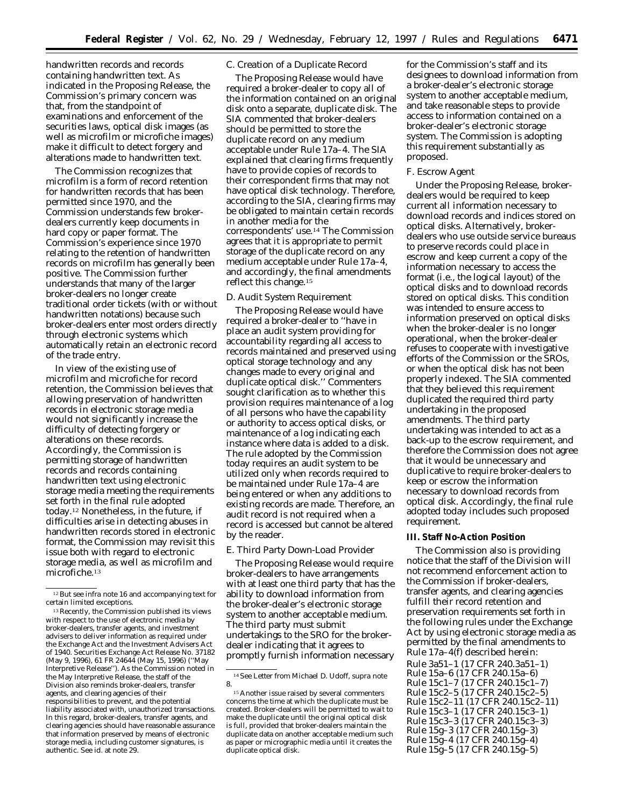handwritten records and records containing handwritten text. As indicated in the Proposing Release, the Commission's primary concern was that, from the standpoint of examinations and enforcement of the securities laws, optical disk images (as well as microfilm or microfiche images) make it difficult to detect forgery and alterations made to handwritten text.

The Commission recognizes that microfilm is a form of record retention for handwritten records that has been permitted since 1970, and the Commission understands few brokerdealers currently keep documents in hard copy or paper format. The Commission's experience since 1970 relating to the retention of handwritten records on microfilm has generally been positive. The Commission further understands that many of the larger broker-dealers no longer create traditional order tickets (with or without handwritten notations) because such broker-dealers enter most orders directly through electronic systems which automatically retain an electronic record of the trade entry.

In view of the existing use of microfilm and microfiche for record retention, the Commission believes that allowing preservation of handwritten records in electronic storage media would not significantly increase the difficulty of detecting forgery or alterations on these records. Accordingly, the Commission is permitting storage of handwritten records and records containing handwritten text using electronic storage media meeting the requirements set forth in the final rule adopted today.12 Nonetheless, in the future, if difficulties arise in detecting abuses in handwritten records stored in electronic format, the Commission may revisit this issue both with regard to electronic storage media, as well as microfilm and microfiche.13

# *C. Creation of a Duplicate Record*

The Proposing Release would have required a broker-dealer to copy all of the information contained on an original disk onto a separate, duplicate disk. The SIA commented that broker-dealers should be permitted to store the duplicate record on any medium acceptable under Rule 17a–4. The SIA explained that clearing firms frequently have to provide copies of records to their correspondent firms that may not have optical disk technology. Therefore, according to the SIA, clearing firms may be obligated to maintain certain records in another media for the correspondents' use.14 The Commission agrees that it is appropriate to permit storage of the duplicate record on any medium acceptable under Rule 17a–4, and accordingly, the final amendments reflect this change.15

## *D. Audit System Requirement*

The Proposing Release would have required a broker-dealer to ''have in place an audit system providing for accountability regarding all access to records maintained and preserved using optical storage technology and any changes made to every original and duplicate optical disk.'' Commenters sought clarification as to whether this provision requires maintenance of a log of all persons who have the capability or authority to access optical disks, or maintenance of a log indicating each instance where data is added to a disk. The rule adopted by the Commission today requires an audit system to be utilized only when records required to be maintained under Rule 17a–4 are being entered or when any additions to existing records are made. Therefore, an audit record is not required when a record is accessed but cannot be altered by the reader.

#### *E. Third Party Down-Load Provider*

The Proposing Release would require broker-dealers to have arrangements with at least one third party that has the ability to download information from the broker-dealer's electronic storage system to another acceptable medium. The third party must submit undertakings to the SRO for the brokerdealer indicating that it agrees to promptly furnish information necessary

for the Commission's staff and its designees to download information from a broker-dealer's electronic storage system to another acceptable medium, and take reasonable steps to provide access to information contained on a broker-dealer's electronic storage system. The Commission is adopting this requirement substantially as proposed.

# *F. Escrow Agent*

Under the Proposing Release, brokerdealers would be required to keep current all information necessary to download records and indices stored on optical disks. Alternatively, brokerdealers who use outside service bureaus to preserve records could place in escrow and keep current a copy of the information necessary to access the format (i.e., the logical layout) of the optical disks and to download records stored on optical disks. This condition was intended to ensure access to information preserved on optical disks when the broker-dealer is no longer operational, when the broker-dealer refuses to cooperate with investigative efforts of the Commission or the SROs, or when the optical disk has not been properly indexed. The SIA commented that they believed this requirement duplicated the required third party undertaking in the proposed amendments. The third party undertaking was intended to act as a back-up to the escrow requirement, and therefore the Commission does not agree that it would be unnecessary and duplicative to require broker-dealers to keep or escrow the information necessary to download records from optical disk. Accordingly, the final rule adopted today includes such proposed requirement.

# **III. Staff No-Action Position**

The Commission also is providing notice that the staff of the Division will not recommend enforcement action to the Commission if broker-dealers, transfer agents, and clearing agencies fulfill their record retention and preservation requirements set forth in the following rules under the Exchange Act by using electronic storage media as permitted by the final amendments to Rule 17a–4(f) described herein: Rule 3a51–1 (17 CFR 240.3a51–1) Rule 15a–6 (17 CFR 240.15a–6) Rule 15c1–7 (17 CFR 240.15c1–7) Rule 15c2–5 (17 CFR 240.15c2–5) Rule 15c2–11 (17 CFR 240.15c2–11) Rule 15c3–1 (17 CFR 240.15c3–1) Rule 15c3–3 (17 CFR 240.15c3–3) Rule 15g–3 (17 CFR 240.15g–3) Rule 15g–4 (17 CFR 240.15g–4) Rule 15g–5 (17 CFR 240.15g–5)

<sup>12</sup>*But see infra* note 16 and accompanying text for certain limited exceptions.

<sup>&</sup>lt;sup>13</sup> Recently, the Commission published its views with respect to the use of electronic media by broker-dealers, transfer agents, and investment advisers to deliver information as required under the Exchange Act and the Investment Advisers Act of 1940. Securities Exchange Act Release No. 37182 (May 9, 1996), 61 FR 24644 (May 15, 1996) (''May Interpretive Release''). As the Commission noted in the May Interpretive Release, the staff of the Division also reminds broker-dealers, transfer agents, and clearing agencies of their responsibilities to prevent, and the potential liability associated with, unauthorized transactions. In this regard, broker-dealers, transfer agents, and clearing agencies should have reasonable assurance that information preserved by means of electronic storage media, including customer signatures, is authentic. *See id.* at note 29.

<sup>14</sup>*See* Letter from Michael D. Udoff, *supra* note 8.

<sup>15</sup>Another issue raised by several commenters concerns the time at which the duplicate must be created. Broker-dealers will be permitted to wait to make the duplicate until the original optical disk is full, provided that broker-dealers maintain the duplicate data on another acceptable medium such as paper or micrographic media until it creates the duplicate optical disk.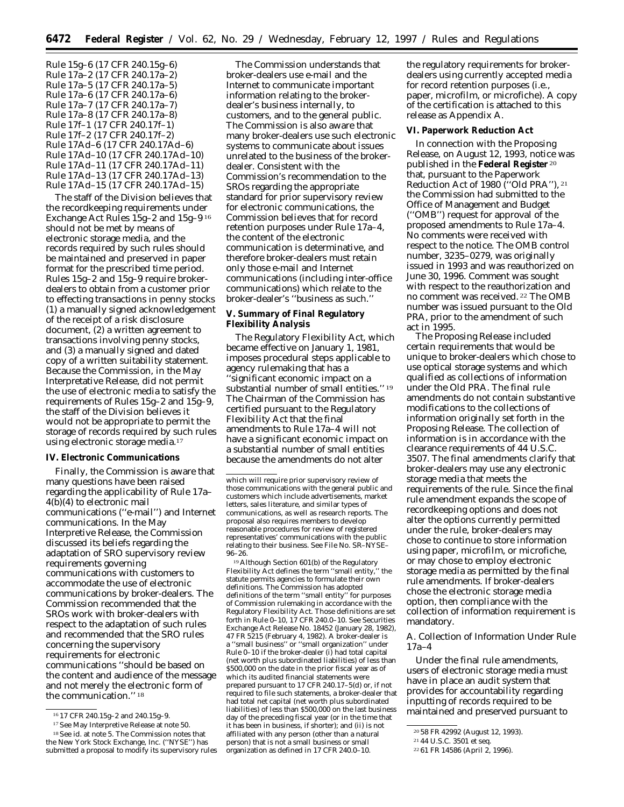Rule 15g–6 (17 CFR 240.15g–6) Rule 17a–2 (17 CFR 240.17a–2) Rule 17a–5 (17 CFR 240.17a–5) Rule 17a–6 (17 CFR 240.17a–6) Rule 17a–7 (17 CFR 240.17a–7) Rule 17a–8 (17 CFR 240.17a–8) Rule 17f–1 (17 CFR 240.17f–1) Rule 17f–2 (17 CFR 240.17f–2) Rule 17Ad–6 (17 CFR 240.17Ad–6) Rule 17Ad–10 (17 CFR 240.17Ad–10) Rule 17Ad–11 (17 CFR 240.17Ad–11) Rule 17Ad–13 (17 CFR 240.17Ad–13) Rule 17Ad–15 (17 CFR 240.17Ad–15)

The staff of the Division believes that the recordkeeping requirements under Exchange Act Rules 15g–2 and 15g–9 16 should not be met by means of electronic storage media, and the records required by such rules should be maintained and preserved in paper format for the prescribed time period. Rules 15g–2 and 15g–9 require brokerdealers to obtain from a customer prior to effecting transactions in penny stocks (1) a manually signed acknowledgement of the receipt of a risk disclosure document, (2) a written agreement to transactions involving penny stocks, and (3) a manually signed and dated copy of a written suitability statement. Because the Commission, in the May Interpretative Release, did not permit the use of electronic media to satisfy the requirements of Rules 15g–2 and 15g–9, the staff of the Division believes it would not be appropriate to permit the storage of records required by such rules using electronic storage media.17

# **IV. Electronic Communications**

Finally, the Commission is aware that many questions have been raised regarding the applicability of Rule 17a– 4(b)(4) to electronic mail communications (''e-mail'') and Internet communications. In the May Interpretive Release, the Commission discussed its beliefs regarding the adaptation of SRO supervisory review requirements governing communications with customers to accommodate the use of electronic communications by broker-dealers. The Commission recommended that the SROs work with broker-dealers with respect to the adaptation of such rules and recommended that the SRO rules concerning the supervisory requirements for electronic communications ''should be based on the content and audience of the message and not merely the electronic form of the communication.'' 18

The Commission understands that broker-dealers use e-mail and the Internet to communicate important information relating to the brokerdealer's business internally, to customers, and to the general public. The Commission is also aware that many broker-dealers use such electronic systems to communicate about issues unrelated to the business of the brokerdealer. Consistent with the Commission's recommendation to the SROs regarding the appropriate standard for prior supervisory review for electronic communications, the Commission believes that for record retention purposes under Rule 17a–4, the content of the electronic communication is determinative, and therefore broker-dealers must retain only those e-mail and Internet communications (including inter-office communications) which relate to the broker-dealer's ''business as such.''

# **V. Summary of Final Regulatory Flexibility Analysis**

The Regulatory Flexibility Act, which became effective on January 1, 1981, imposes procedural steps applicable to agency rulemaking that has a ''significant economic impact on a substantial number of small entities.'' 19 The Chairman of the Commission has certified pursuant to the Regulatory Flexibility Act that the final amendments to Rule 17a–4 will not have a significant economic impact on a substantial number of small entities because the amendments do not alter

19Although Section 601(b) of the Regulatory Flexibility Act defines the term ''small entity,'' the statute permits agencies to formulate their own definitions. The Commission has adopted definitions of the term ''small entity'' for purposes of Commission rulemaking in accordance with the Regulatory Flexibility Act. Those definitions are set forth in Rule 0–10, 17 CFR 240.0–10. *See* Securities Exchange Act Release No. 18452 (January 28, 1982) 47 FR 5215 (February 4, 1982). A broker-dealer is a ''small business'' or ''small organization'' under Rule 0–10 if the broker-dealer (i) had total capital (net worth plus subordinated liabilities) of less than \$500,000 on the date in the prior fiscal year as of which its audited financial statements were prepared pursuant to 17 CFR 240.17–5(d) or, if not required to file such statements, a broker-dealer that had total net capital (net worth plus subordinated liabilities) of less than \$500,000 on the last business day of the preceding fiscal year (or in the time that it has been in business, if shorter); and (ii) is not affiliated with any person (other than a natural person) that is not a small business or small organization as defined in 17 CFR 240.0–10.

the regulatory requirements for brokerdealers using currently accepted media for record retention purposes (i.e., paper, microfilm, or microfiche). A copy of the certification is attached to this release as Appendix A.

### **VI. Paperwork Reduction Act**

In connection with the Proposing Release, on August 12, 1993, notice was published in the **Federal Register** 20 that, pursuant to the Paperwork Reduction Act of 1980 (''Old PRA''), 21 the Commission had submitted to the Office of Management and Budget (''OMB'') request for approval of the proposed amendments to Rule 17a–4. No comments were received with respect to the notice. The OMB control number, 3235–0279, was originally issued in 1993 and was reauthorized on June 30, 1996. Comment was sought with respect to the reauthorization and no comment was received. 22 The OMB number was issued pursuant to the Old PRA, prior to the amendment of such act in 1995.

The Proposing Release included certain requirements that would be unique to broker-dealers which chose to use optical storage systems and which qualified as collections of information under the Old PRA. The final rule amendments do not contain substantive modifications to the collections of information originally set forth in the Proposing Release. The collection of information is in accordance with the clearance requirements of 44 U.S.C. 3507. The final amendments clarify that broker-dealers may use any electronic storage media that meets the requirements of the rule. Since the final rule amendment expands the scope of recordkeeping options and does not alter the options currently permitted under the rule, broker-dealers may chose to continue to store information using paper, microfilm, or microfiche, or may chose to employ electronic storage media as permitted by the final rule amendments. If broker-dealers chose the electronic storage media option, then compliance with the collection of information requirement is mandatory.

# *A. Collection of Information Under Rule 17a–4*

Under the final rule amendments, users of electronic storage media must have in place an audit system that provides for accountability regarding inputting of records required to be maintained and preserved pursuant to

<sup>16</sup> 17 CFR 240.15g–2 and 240.15g–9.

<sup>17</sup>*See* May Interpretive Release at note 50.

<sup>18</sup>*See id.* at note 5. The Commission notes that the New York Stock Exchange, Inc. (''NYSE'') has submitted a proposal to modify its supervisory rules

which will require prior supervisory review of those communications with the general public and customers which include advertisements, market letters, sales literature, and similar types of communications, as well as research reports. The proposal also requires members to develop reasonable procedures for review of registered representatives' communications with the public relating to their business. *See* File No. SR–NYSE– 96–26.

<sup>20</sup> 58 FR 42992 (August 12, 1993).

<sup>21</sup> 44 U.S.C. 3501 et seq.

<sup>22</sup> 61 FR 14586 (April 2, 1996).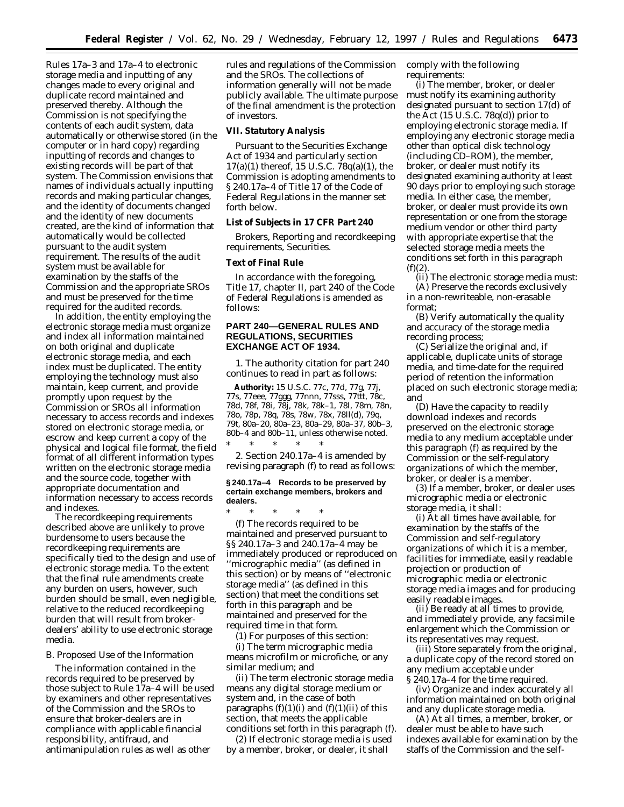Rules 17a–3 and 17a–4 to electronic storage media and inputting of any changes made to every original and duplicate record maintained and preserved thereby. Although the Commission is not specifying the contents of each audit system, data automatically or otherwise stored (in the computer or in hard copy) regarding inputting of records and changes to existing records will be part of that system. The Commission envisions that names of individuals actually inputting records and making particular changes, and the identity of documents changed and the identity of new documents created, are the kind of information that automatically would be collected pursuant to the audit system requirement. The results of the audit system must be available for examination by the staffs of the Commission and the appropriate SROs and must be preserved for the time required for the audited records.

In addition, the entity employing the electronic storage media must organize and index all information maintained on both original and duplicate electronic storage media, and each index must be duplicated. The entity employing the technology must also maintain, keep current, and provide promptly upon request by the Commission or SROs all information necessary to access records and indexes stored on electronic storage media, or escrow and keep current a copy of the physical and logical file format, the field format of all different information types written on the electronic storage media and the source code, together with appropriate documentation and information necessary to access records and indexes.

The recordkeeping requirements described above are unlikely to prove burdensome to users because the recordkeeping requirements are specifically tied to the design and use of electronic storage media. To the extent that the final rule amendments create any burden on users, however, such burden should be small, even negligible, relative to the reduced recordkeeping burden that will result from brokerdealers' ability to use electronic storage media.

# *B. Proposed Use of the Information*

The information contained in the records required to be preserved by those subject to Rule 17a–4 will be used by examiners and other representatives of the Commission and the SROs to ensure that broker-dealers are in compliance with applicable financial responsibility, antifraud, and antimanipulation rules as well as other

rules and regulations of the Commission and the SROs. The collections of information generally will not be made publicly available. The ultimate purpose of the final amendment is the protection of investors.

# **VII. Statutory Analysis**

Pursuant to the Securities Exchange Act of 1934 and particularly section 17(a)(1) thereof, 15 U.S.C. 78q(a)(1), the Commission is adopting amendments to § 240.17a–4 of Title 17 of the Code of Federal Regulations in the manner set forth below.

# **List of Subjects in 17 CFR Part 240**

Brokers, Reporting and recordkeeping requirements, Securities.

### **Text of Final Rule**

In accordance with the foregoing, Title 17, chapter II, part 240 of the Code of Federal Regulations is amended as follows:

# **PART 240—GENERAL RULES AND REGULATIONS, SECURITIES EXCHANGE ACT OF 1934.**

1. The authority citation for part 240 continues to read in part as follows:

**Authority:** 15 U.S.C. 77c, 77d, 77g, 77j, 77s, 77eee, 77ggg, 77nnn, 77sss, 77ttt, 78c, 78d, 78f, 78i, 78j, 78k, 78k–1, 78*l*, 78m, 78n, 78o, 78p, 78q, 78s, 78w, 78x, 78*ll*(d), 79q, 79t, 80a–20, 80a–23, 80a–29, 80a–37, 80b–3, 80b–4 and 80b–11, unless otherwise noted. \* \* \* \* \*

2. Section 240.17a–4 is amended by revising paragraph (f) to read as follows:

### **§ 240.17a–4 Records to be preserved by certain exchange members, brokers and dealers.**

\* \* \* \* \* (f) The records required to be maintained and preserved pursuant to §§ 240.17a–3 and 240.17a–4 may be immediately produced or reproduced on ''micrographic media'' (as defined in this section) or by means of ''electronic storage media'' (as defined in this section) that meet the conditions set forth in this paragraph and be maintained and preserved for the required time in that form.

(1) For purposes of this section:

(i) The term *micrographic media* means microfilm or microfiche, or any similar medium; and

(ii) The term *electronic storage media* means any digital storage medium or system and, in the case of both paragraphs  $(f)(1)(i)$  and  $(f)(1)(ii)$  of this section, that meets the applicable conditions set forth in this paragraph (f).

(2) If electronic storage media is used by a member, broker, or dealer, it shall

comply with the following requirements:

(i) The member, broker, or dealer must notify its examining authority designated pursuant to section 17(d) of the Act  $(15 \text{ U.S.C. } 78q(d))$  prior to employing electronic storage media. If employing any electronic storage media other than optical disk technology (including CD–ROM), the member, broker, or dealer must notify its designated examining authority at least 90 days prior to employing such storage media. In either case, the member, broker, or dealer must provide its own representation or one from the storage medium vendor or other third party with appropriate expertise that the selected storage media meets the conditions set forth in this paragraph  $(f)(2)$ .

(ii) The electronic storage media must:

(A) Preserve the records exclusively in a non-rewriteable, non-erasable format;

(B) Verify automatically the quality and accuracy of the storage media recording process;

(C) Serialize the original and, if applicable, duplicate units of storage media, and time-date for the required period of retention the information placed on such electronic storage media; and

(D) Have the capacity to readily download indexes and records preserved on the electronic storage media to any medium acceptable under this paragraph (f) as required by the Commission or the self-regulatory organizations of which the member, broker, or dealer is a member.

(3) If a member, broker, or dealer uses micrographic media or electronic storage media, it shall:

(i) At all times have available, for examination by the staffs of the Commission and self-regulatory organizations of which it is a member, facilities for immediate, easily readable projection or production of micrographic media or electronic storage media images and for producing easily readable images.

(ii) Be ready at all times to provide, and immediately provide, any facsimile enlargement which the Commission or its representatives may request.

(iii) Store separately from the original, a duplicate copy of the record stored on any medium acceptable under § 240.17a–4 for the time required.

(iv) Organize and index accurately all information maintained on both original and any duplicate storage media.

(A) At all times, a member, broker, or dealer must be able to have such indexes available for examination by the staffs of the Commission and the self